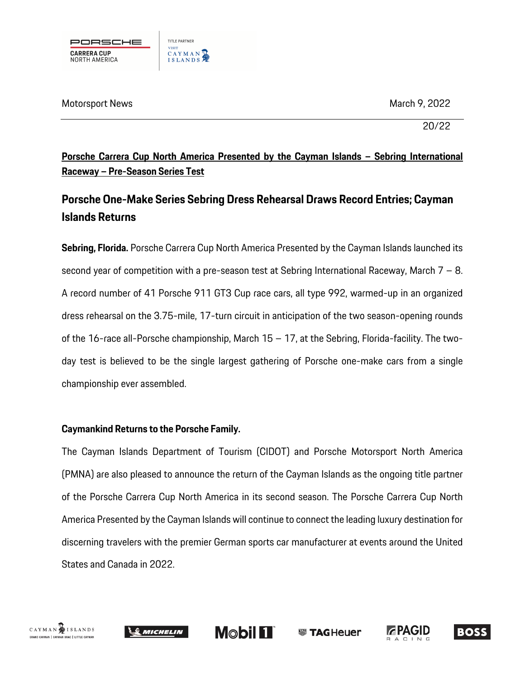

Motorsport News March 9, 2022

20/22

**Porsche Carrera Cup North America Presented by the Cayman Islands – Sebring International Raceway – Pre-Season Series Test**

# **Porsche One-Make Series Sebring Dress Rehearsal Draws Record Entries; Cayman Islands Returns**

**Sebring, Florida.** Porsche Carrera Cup North America Presented by the Cayman Islands launched its second year of competition with a pre-season test at Sebring International Raceway, March  $7 - 8$ . A record number of 41 Porsche 911 GT3 Cup race cars, all type 992, warmed-up in an organized dress rehearsal on the 3.75-mile, 17-turn circuit in anticipation of the two season-opening rounds of the 16-race all-Porsche championship, March 15 – 17, at the Sebring, Florida-facility. The twoday test is believed to be the single largest gathering of Porsche one-make cars from a single championship ever assembled.

## **Caymankind Returns to the Porsche Family.**

The Cayman Islands Department of Tourism (CIDOT) and Porsche Motorsport North America (PMNA) are also pleased to announce the return of the Cayman Islands as the ongoing title partner of the Porsche Carrera Cup North America in its second season. The Porsche Carrera Cup North America Presented by the Cayman Islands will continue to connect the leading luxury destination for discerning travelers with the premier German sports car manufacturer at events around the United States and Canada in 2022.









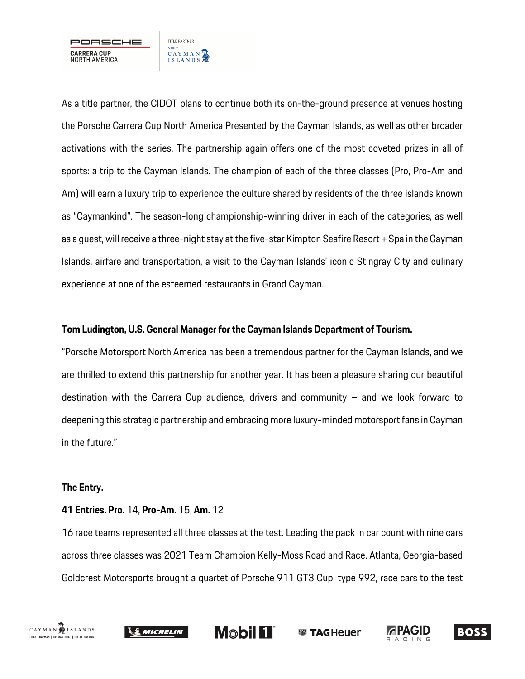

As a title partner, the CIDOT plans to continue both its on-the-ground presence at venues hosting the Porsche Carrera Cup North America Presented by the Cayman Islands, as well as other broader activations with the series. The partnership again offers one of the most coveted prizes in all of sports: a trip to the Cayman Islands. The champion of each of the three classes (Pro, Pro-Am and Am) will earn a luxury trip to experience the culture shared by residents of the three islands known as "Caymankind". The season-long championship-winning driver in each of the categories, as well as a guest, will receive a three-night stay at the five-star Kimpton Seafire Resort + Spa in the Cayman Islands, airfare and transportation, a visit to the Cayman Islands' iconic Stingray City and culinary experience at one of the esteemed restaurants in Grand Cayman.

#### **Tom Ludington, U.S. General Manager for the Cayman Islands Department of Tourism.**

"Porsche Motorsport North America has been a tremendous partner for the Cayman Islands, and we are thrilled to extend this partnership for another year. It has been a pleasure sharing our beautiful destination with the Carrera Cup audience, drivers and community – and we look forward to deepening this strategic partnership and embracing more luxury-minded motorsport fans in Cayman in the future."

#### **The Entry.**

#### **41 Entries. Pro.** 14, **Pro-Am.** 15, **Am.** 12

16 race teams represented all three classes at the test. Leading the pack in car count with nine cars across three classes was 2021 Team Champion Kelly-Moss Road and Race. Atlanta, Georgia-based Goldcrest Motorsports brought a quartet of Porsche 911 GT3 Cup, type 992, race cars to the test





**Mobil FT WE TAGHeuer**  **ZPAGID** 

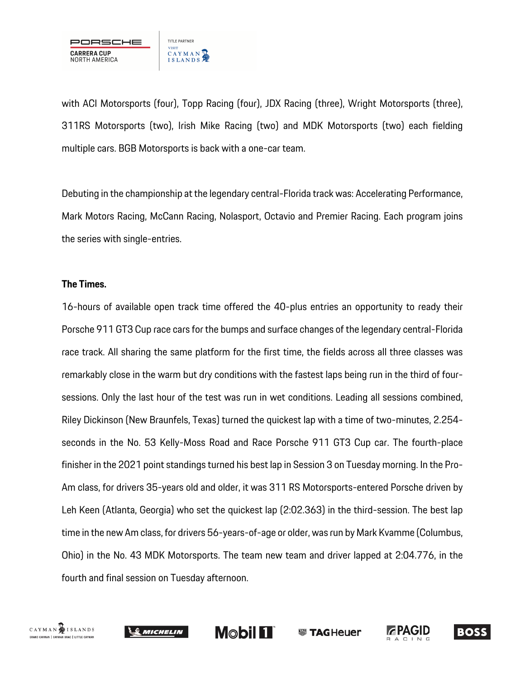

with ACI Motorsports (four), Topp Racing (four), JDX Racing (three), Wright Motorsports (three), 311RS Motorsports (two), Irish Mike Racing (two) and MDK Motorsports (two) each fielding multiple cars. BGB Motorsports is back with a one-car team.

Debuting in the championship at the legendary central-Florida track was: Accelerating Performance, Mark Motors Racing, McCann Racing, Nolasport, Octavio and Premier Racing. Each program joins the series with single-entries.

#### **The Times.**

16-hours of available open track time offered the 40-plus entries an opportunity to ready their Porsche 911 GT3 Cup race cars for the bumps and surface changes of the legendary central-Florida race track. All sharing the same platform for the first time, the fields across all three classes was remarkably close in the warm but dry conditions with the fastest laps being run in the third of foursessions. Only the last hour of the test was run in wet conditions. Leading all sessions combined, Riley Dickinson (New Braunfels, Texas) turned the quickest lap with a time of two-minutes, 2.254 seconds in the No. 53 Kelly-Moss Road and Race Porsche 911 GT3 Cup car. The fourth-place finisher in the 2021 point standings turned his best lap in Session 3 on Tuesday morning. In the Pro-Am class, for drivers 35-years old and older, it was 311 RS Motorsports-entered Porsche driven by Leh Keen (Atlanta, Georgia) who set the quickest lap (2:02.363) in the third-session. The best lap time in the new Am class, for drivers 56-years-of-age or older, was run by Mark Kvamme (Columbus, Ohio) in the No. 43 MDK Motorsports. The team new team and driver lapped at 2:04.776, in the fourth and final session on Tuesday afternoon.







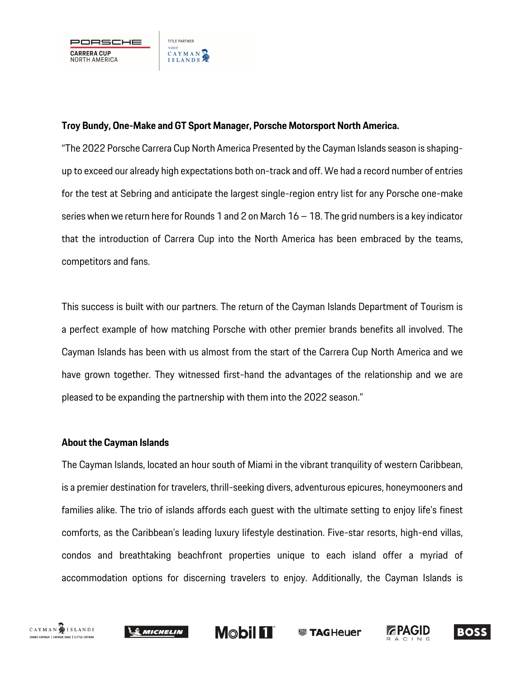

### **Troy Bundy, One-Make and GT Sport Manager, Porsche Motorsport North America.**

"The 2022 Porsche Carrera Cup North America Presented by the Cayman Islands season is shapingup to exceed our already high expectations both on-track and off. We had a record number of entries for the test at Sebring and anticipate the largest single-region entry list for any Porsche one-make series when we return here for Rounds 1 and 2 on March 16 – 18. The grid numbers is a key indicator that the introduction of Carrera Cup into the North America has been embraced by the teams, competitors and fans.

This success is built with our partners. The return of the Cayman Islands Department of Tourism is a perfect example of how matching Porsche with other premier brands benefits all involved. The Cayman Islands has been with us almost from the start of the Carrera Cup North America and we have grown together. They witnessed first-hand the advantages of the relationship and we are pleased to be expanding the partnership with them into the 2022 season."

#### **About the Cayman Islands**

The Cayman Islands, located an hour south of Miami in the vibrant tranquility of western Caribbean, is a premier destination for travelers, thrill-seeking divers, adventurous epicures, honeymooners and families alike. The trio of islands affords each guest with the ultimate setting to enjoy life's finest comforts, as the Caribbean's leading luxury lifestyle destination. Five-star resorts, high-end villas, condos and breathtaking beachfront properties unique to each island offer a myriad of accommodation options for discerning travelers to enjoy. Additionally, the Cayman Islands is

**Mobil FT** 

**ZPAGID** 

**WE TAGHeuer** 

**BOSS** 



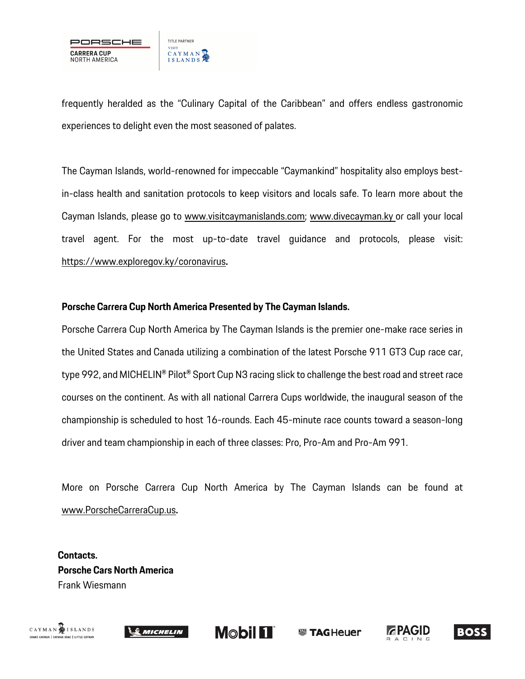

frequently heralded as the "Culinary Capital of the Caribbean" and offers endless gastronomic experiences to delight even the most seasoned of palates.

The Cayman Islands, world-renowned for impeccable "Caymankind" hospitality also employs bestin-class health and sanitation protocols to keep visitors and locals safe. To learn more about the Cayman Islands, please go to www.visitcaymanislands.com; www.divecayman.ky or call your local travel agent. For the most up-to-date travel guidance and protocols, please visit: https://www.exploregov.ky/coronavirus**.**

#### **Porsche Carrera Cup North America Presented by The Cayman Islands.**

Porsche Carrera Cup North America by The Cayman Islands is the premier one-make race series in the United States and Canada utilizing a combination of the latest Porsche 911 GT3 Cup race car, type 992, and MICHELIN® Pilot® Sport Cup N3 racing slick to challenge the best road and street race courses on the continent. As with all national Carrera Cups worldwide, the inaugural season of the championship is scheduled to host 16-rounds. Each 45-minute race counts toward a season-long driver and team championship in each of three classes: Pro, Pro-Am and Pro-Am 991.

More on Porsche Carrera Cup North America by The Cayman Islands can be found at www.PorscheCarreraCup.us**.**

**Contacts. Porsche Cars North America** Frank Wiesmann